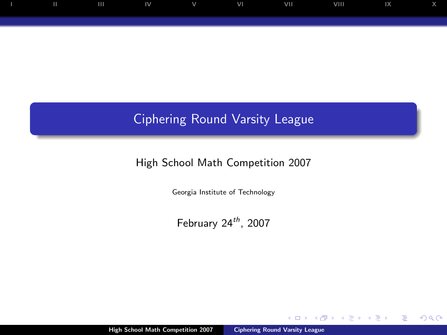

## Ciphering Round Varsity League

### High School Math Competition 2007

Georgia Institute of Technology

February  $24^{th}$ , 2007

 $\leftarrow$ 

<span id="page-0-0"></span> $299$ 

∍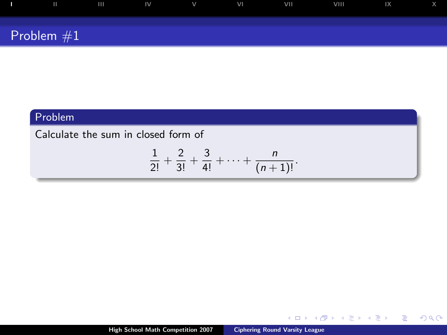|              | $\mathbf{H}$ | $\mathbf{H}$ | <b>IV</b> | $\vee$ | VI | VII | VIII | 1X |  |
|--------------|--------------|--------------|-----------|--------|----|-----|------|----|--|
| Problem $#1$ |              |              |           |        |    |     |      |    |  |

Calculate the sum in closed form of

$$
\frac{1}{2!}+\frac{2}{3!}+\frac{3}{4!}+\cdots+\frac{n}{(n+1)!}.
$$

 $4$  ロ )  $4$  何 )  $4$  ミ )  $4$   $3$   $\rightarrow$ 

<span id="page-1-0"></span> $2990$ 

÷.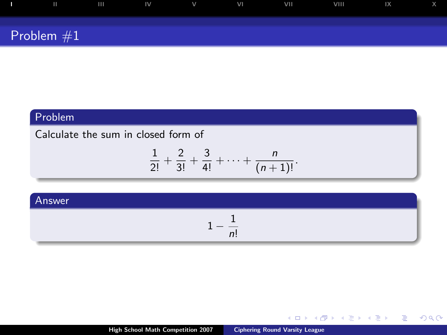|              | $\mathbf{H}$ | $\mathbf{H}$ | <b>IV</b> | $\vee$ | VI | VII | VIII | 1X |  |
|--------------|--------------|--------------|-----------|--------|----|-----|------|----|--|
| Problem $#1$ |              |              |           |        |    |     |      |    |  |

### Calculate the sum in closed form of

$$
\frac{1}{2!}+\frac{2}{3!}+\frac{3}{4!}+\cdots+\frac{n}{(n+1)!}.
$$

#### Answer

$$
1-\frac{1}{n!}
$$

 $4$  ロ )  $4$   $6$  )  $4$   $3$  )  $4$   $3$   $4$   $3$   $4$ 

 $OQ$ 目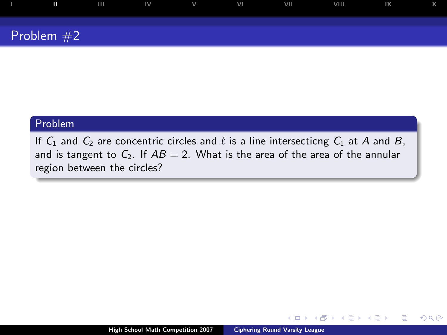

If  $C_1$  and  $C_2$  are concentric circles and  $\ell$  is a line intersecticng  $C_1$  at A and B, and is tangent to  $C_2$ . If  $AB = 2$ . What is the area of the area of the annular region between the circles?

 $-10.5$ 

 $QQ$ 

<span id="page-3-0"></span>∍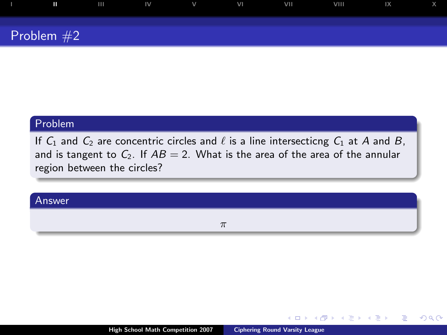# [I](#page-1-0) [II](#page-3-0) [III](#page-5-0) [IV](#page-7-0) [V](#page-9-0) [VI](#page-11-0) [VII](#page-13-0) [VIII](#page-15-0) [IX](#page-17-0) [X](#page-19-0) Problem #2

#### Problem

If  $C_1$  and  $C_2$  are concentric circles and  $\ell$  is a line intersecticng  $C_1$  at A and B, and is tangent to  $C_2$ . If  $AB = 2$ . What is the area of the area of the annular region between the circles?

#### Answer

π

4日)

 $QQ$ 

э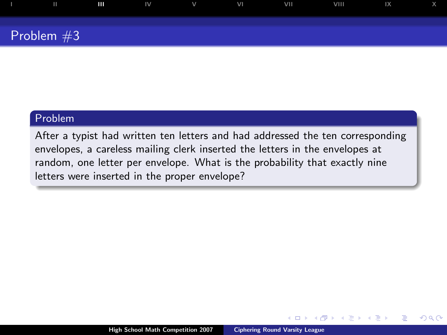# [I](#page-1-0) [II](#page-3-0) [III](#page-5-0) [IV](#page-7-0) [V](#page-9-0) [VI](#page-11-0) [VII](#page-13-0) [VIII](#page-15-0) [IX](#page-17-0) [X](#page-19-0) Problem #3

#### Problem

After a typist had written ten letters and had addressed the ten corresponding envelopes, a careless mailing clerk inserted the letters in the envelopes at random, one letter per envelope. What is the probability that exactly nine letters were inserted in the proper envelope?

 $\leftarrow$ 

<span id="page-5-0"></span> $2Q$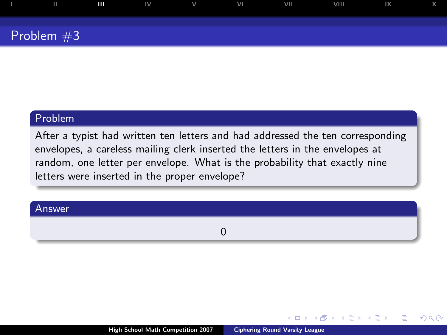# [I](#page-1-0) [II](#page-3-0) [III](#page-5-0) [IV](#page-7-0) [V](#page-9-0) [VI](#page-11-0) [VII](#page-13-0) [VIII](#page-15-0) [IX](#page-17-0) [X](#page-19-0) Problem #3

#### Problem

After a typist had written ten letters and had addressed the ten corresponding envelopes, a careless mailing clerk inserted the letters in the envelopes at random, one letter per envelope. What is the probability that exactly nine letters were inserted in the proper envelope?

#### Answer

0

 $-10.5$ 

 $2Q$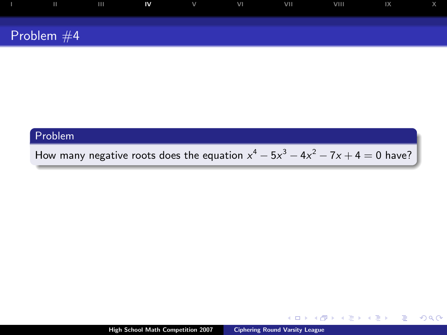| $\mathbf{H}$ | $\mathbf{H}$ | IV. | $\vee$ | VI | VII | <b>VIII</b> | IX |  |
|--------------|--------------|-----|--------|----|-----|-------------|----|--|
| Problem $#4$ |              |     |        |    |     |             |    |  |

How many negative roots does the equation  $x^4 - 5x^3 - 4x^2 - 7x + 4 = 0$  have?

 $\leftarrow$   $\Box$   $\rightarrow$ 

イ押 トラミチ マミト

<span id="page-7-0"></span> $299$ 

G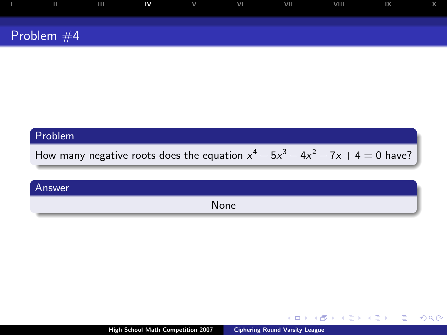| п            | $\mathbf{H}$ | IV | V | VI | VII | VIII | IX |  |
|--------------|--------------|----|---|----|-----|------|----|--|
| Problem $#4$ |              |    |   |    |     |      |    |  |

How many negative roots does the equation  $x^4 - 5x^3 - 4x^2 - 7x + 4 = 0$  have?

| Answer |      |
|--------|------|
|        | None |

 $\leftarrow$   $\Box$   $\rightarrow$ 

 $\leftarrow$   $\Box$ 

医毛囊 医牙骨膜炎

G

 $299$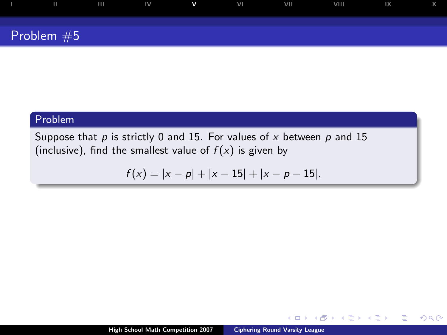

Suppose that  $p$  is strictly 0 and 15. For values of  $x$  between  $p$  and 15 (inclusive), find the smallest value of  $f(x)$  is given by

$$
f(x) = |x - p| + |x - 15| + |x - p - 15|.
$$

 $\leftarrow$ 

 $2Q$ 

<span id="page-9-0"></span>∍

Þ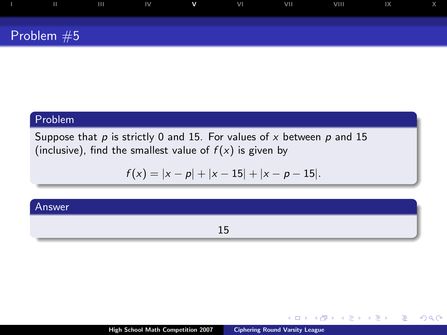| Ш            | . m | IV | $\mathbf v$ | VI | <b>VIII</b> | <b>VIII</b> | $\mathsf{I} \mathsf{X}$ |  |
|--------------|-----|----|-------------|----|-------------|-------------|-------------------------|--|
| Problem $#5$ |     |    |             |    |             |             |                         |  |

Suppose that  $p$  is strictly 0 and 15. For values of  $x$  between  $p$  and 15 (inclusive), find the smallest value of  $f(x)$  is given by

$$
f(x) = |x - p| + |x - 15| + |x - p - 15|.
$$

#### Answer

15

4日)

Þ

モミト

.

 $2Q$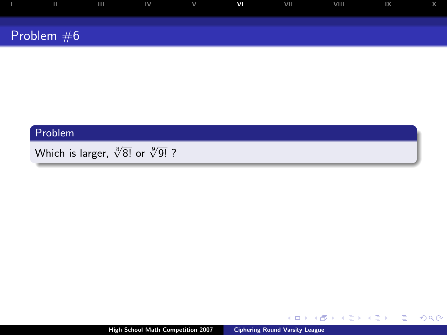| $\mathbf{H}$ | $\blacksquare$ | $\overline{\mathsf{IV}}$ | $\mathbf{v}$ | V <sub>1</sub> | VII | VIII | $\overline{X}$ |  |
|--------------|----------------|--------------------------|--------------|----------------|-----|------|----------------|--|
|              |                |                          |              |                |     |      |                |  |
| Problem $#6$ |                |                          |              |                |     |      |                |  |

Which is larger,  $\sqrt[8]{8!}$  or  $\sqrt[9]{9!}$  ?

<span id="page-11-0"></span> $299$ 

目

イロン イ伊 メ イヨン イヨン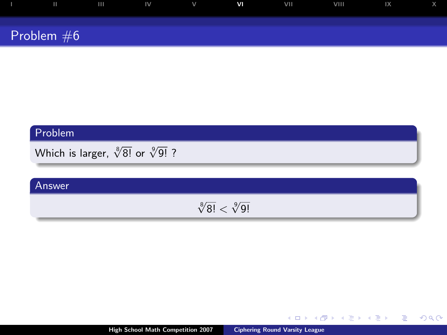| ш            | $\mathbf{I}$ $\mathbf{I}$ $\mathbf{V}$ | V | <b>VI</b> | VII | VIII | $\mathsf{I}$ $\mathsf{X}$ |  |
|--------------|----------------------------------------|---|-----------|-----|------|---------------------------|--|
|              |                                        |   |           |     |      |                           |  |
| Problem $#6$ |                                        |   |           |     |      |                           |  |

Which is larger,  $\sqrt[8]{8!}$  or  $\sqrt[9]{9!}$  ?

#### Answer

 $\sqrt[8]{8!} < \sqrt[9]{9!}$ 

 $2990$ 

目

イロン イ伊 メ イヨン イヨン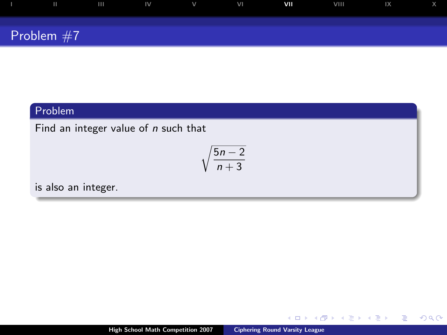| $\mathbf{H}$ | $\mathbf{H}$ | IV. | v | VI | VII | VIII | $\mathsf{I} \mathsf{X}$ |  |
|--------------|--------------|-----|---|----|-----|------|-------------------------|--|
| Problem $#7$ |              |     |   |    |     |      |                         |  |

Find an integer value of  $n$  such that

$$
\sqrt{\frac{5n-2}{n+3}}
$$

is also an integer.

 $\leftarrow$   $\Box$ 

 $299$ 

<span id="page-13-0"></span>∍

Þ

∍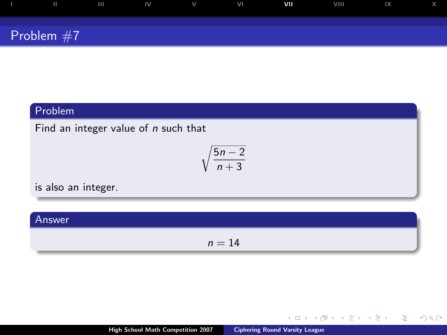| $\mathbf{H}$ | $\mathbf{H}$ | IV. | v | VI | VII | VIII | $\mathsf{I} \mathsf{X}$ |  |
|--------------|--------------|-----|---|----|-----|------|-------------------------|--|
| Problem $#7$ |              |     |   |    |     |      |                         |  |

Find an integer value of  $n$  such that

$$
\sqrt{\frac{5n-2}{n+3}}
$$

is also an integer.

| Answer |        |
|--------|--------|
|        | $n=14$ |

 $\leftarrow$   $\Box$ 

 $299$ 

∍

Þ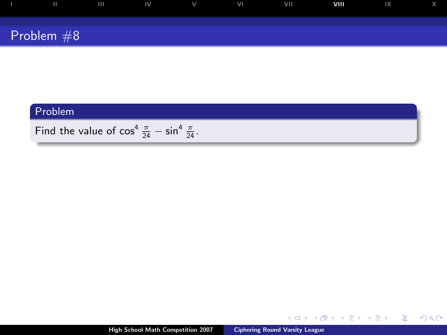| ш            | $\overline{111}$ | $\sim$ IV | $\mathsf{V}$ | VI | VII | VIII | 1X |  |
|--------------|------------------|-----------|--------------|----|-----|------|----|--|
|              |                  |           |              |    |     |      |    |  |
| Problem $#8$ |                  |           |              |    |     |      |    |  |

# Problem Find the value of  $\cos^4 \frac{\pi}{24} - \sin^4 \frac{\pi}{24}$ .

4日下 → 伊 ▶ <span id="page-15-0"></span> $2990$ 

Ε

 $\rightarrow \equiv$ 

∢ 重 ≯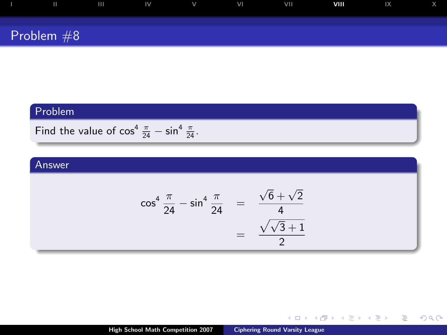| Ш            | $\mathbf{H}$ | $\mathbf{N}$ | $\vee$ | VI | VII | VIII | 1X |  |
|--------------|--------------|--------------|--------|----|-----|------|----|--|
| Problem $#8$ |              |              |        |    |     |      |    |  |

Find the value of  $\cos^4 \frac{\pi}{24} - \sin^4 \frac{\pi}{24}$ .

#### Answer

$$
\cos^4 \frac{\pi}{24} - \sin^4 \frac{\pi}{24} = \frac{\sqrt{6} + \sqrt{2}}{4}
$$
  
= 
$$
\frac{\sqrt{\sqrt{3} + 1}}{2}
$$

K ロ ▶ K 個 ▶ K 결 ▶ K 결 ▶

目  $200$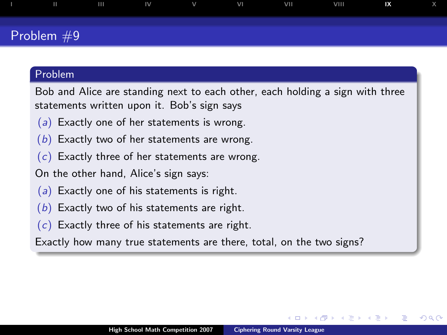# [I](#page-1-0) [II](#page-3-0) [III](#page-5-0) [IV](#page-7-0) [V](#page-9-0) [VI](#page-11-0) [VII](#page-13-0) [VIII](#page-15-0) **[IX](#page-17-0)** [X](#page-19-0) Problem #9

#### Problem

Bob and Alice are standing next to each other, each holding a sign with three statements written upon it. Bob's sign says

- (a) Exactly one of her statements is wrong.
- $(b)$  Exactly two of her statements are wrong.
- $(c)$  Exactly three of her statements are wrong.

On the other hand, Alice's sign says:

- (a) Exactly one of his statements is right.
- $(b)$  Exactly two of his statements are right.
- $(c)$  Exactly three of his statements are right.

Exactly how many true statements are there, total, on the two signs?

<span id="page-17-0"></span>つへへ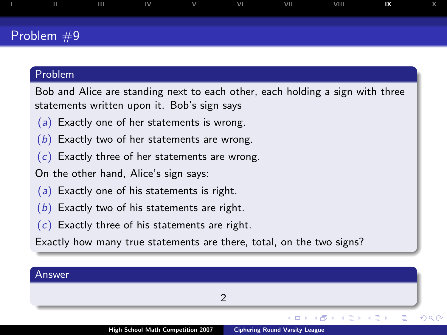# [I](#page-1-0) [II](#page-3-0) [III](#page-5-0) [IV](#page-7-0) [V](#page-9-0) [VI](#page-11-0) [VII](#page-13-0) [VIII](#page-15-0) **[IX](#page-17-0)** [X](#page-19-0) Problem #9

#### Problem

Bob and Alice are standing next to each other, each holding a sign with three statements written upon it. Bob's sign says

- (a) Exactly one of her statements is wrong.
- $(b)$  Exactly two of her statements are wrong.
- $(c)$  Exactly three of her statements are wrong.

On the other hand, Alice's sign says:

- (a) Exactly one of his statements is right.
- $(b)$  Exactly two of his statements are right.
- $(c)$  Exactly three of his statements are right.

Exactly how many true statements are there, total, on the two signs?

| Answer |                                                    |                                                                                                                       |  |
|--------|----------------------------------------------------|-----------------------------------------------------------------------------------------------------------------------|--|
|        |                                                    |                                                                                                                       |  |
|        |                                                    | - ◆ ロ ▶ → 伊 ▶ → ヨ ▶ → ヨ ▶ │ ヨ │ ◆ 9,4,0                                                                               |  |
|        | $11.1.01$ , $0.1.11$ , $0.1.1$ , $0.1.1$ , $0.007$ | and the following the contribution of the contribution of the contribution of the contribution of the contribution of |  |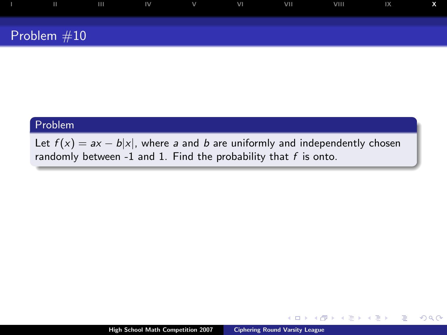

Let  $f(x) = ax - b|x|$ , where a and b are uniformly and independently chosen randomly between -1 and 1. Find the probability that  $f$  is onto.

 $\leftarrow$ 

 $2Q$ 

<span id="page-19-0"></span>э

Þ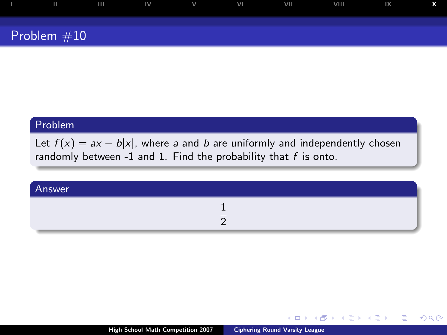| Ш             | . m | $\sim$ IV | $\vee$ | VI | <b>VII</b> | VIII | 1X |  |
|---------------|-----|-----------|--------|----|------------|------|----|--|
| Problem $#10$ |     |           |        |    |            |      |    |  |

Let  $f(x) = ax - b|x|$ , where a and b are uniformly and independently chosen randomly between -1 and 1. Find the probability that  $f$  is onto.

| Answer |                          |
|--------|--------------------------|
|        | $\overline{\phantom{a}}$ |

 $\leftarrow$   $\Box$ 

ミト œ.  $QQ$ 

э